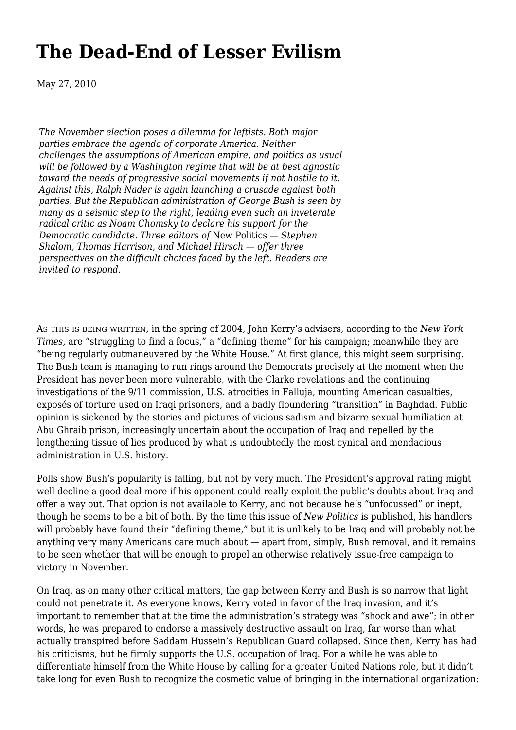# **[The Dead-End of Lesser Evilism](https://newpol.org/issue_post/dead-end-lesser-evilism/)**

May 27, 2010

*The November election poses a dilemma for leftists. Both major parties embrace the agenda of corporate America. Neither challenges the assumptions of American empire, and politics as usual will be followed by a Washington regime that will be at best agnostic toward the needs of progressive social movements if not hostile to it. Against this, Ralph Nader is again launching a crusade against both parties. But the Republican administration of George Bush is seen by many as a seismic step to the right, leading even such an inveterate radical critic as Noam Chomsky to declare his support for the Democratic candidate. Three editors of* New Politics *— [Stephen](http://newpol.org/?p=320) [Shalom,](http://newpol.org/?p=320) Thomas Harrison, and [Michael Hirsch](http://newpol.org/?p=322) — offer three perspectives on the difficult choices faced by the left. Readers are invited to respond.*

AS THIS IS BEING WRITTEN, in the spring of 2004, John Kerry's advisers, according to the *New York Times*, are "struggling to find a focus," a "defining theme" for his campaign; meanwhile they are "being regularly outmaneuvered by the White House." At first glance, this might seem surprising. The Bush team is managing to run rings around the Democrats precisely at the moment when the President has never been more vulnerable, with the Clarke revelations and the continuing investigations of the 9/11 commission, U.S. atrocities in Falluja, mounting American casualties, exposés of torture used on Iraqi prisoners, and a badly floundering "transition" in Baghdad. Public opinion is sickened by the stories and pictures of vicious sadism and bizarre sexual humiliation at Abu Ghraib prison, increasingly uncertain about the occupation of Iraq and repelled by the lengthening tissue of lies produced by what is undoubtedly the most cynical and mendacious administration in U.S. history.

Polls show Bush's popularity is falling, but not by very much. The President's approval rating might well decline a good deal more if his opponent could really exploit the public's doubts about Iraq and offer a way out. That option is not available to Kerry, and not because he's "unfocussed" or inept, though he seems to be a bit of both. By the time this issue of *New Politics* is published, his handlers will probably have found their "defining theme," but it is unlikely to be Iraq and will probably not be anything very many Americans care much about — apart from, simply, Bush removal, and it remains to be seen whether that will be enough to propel an otherwise relatively issue-free campaign to victory in November.

On Iraq, as on many other critical matters, the gap between Kerry and Bush is so narrow that light could not penetrate it. As everyone knows, Kerry voted in favor of the Iraq invasion, and it's important to remember that at the time the administration's strategy was "shock and awe"; in other words, he was prepared to endorse a massively destructive assault on Iraq, far worse than what actually transpired before Saddam Hussein's Republican Guard collapsed. Since then, Kerry has had his criticisms, but he firmly supports the U.S. occupation of Iraq. For a while he was able to differentiate himself from the White House by calling for a greater United Nations role, but it didn't take long for even Bush to recognize the cosmetic value of bringing in the international organization: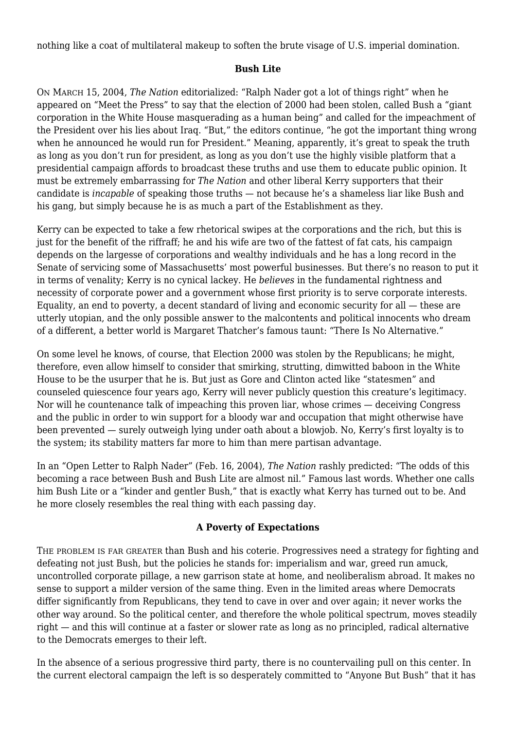nothing like a coat of multilateral makeup to soften the brute visage of U.S. imperial domination.

#### **Bush Lite**

ON MARCH 15, 2004, *The Nation* editorialized: "Ralph Nader got a lot of things right" when he appeared on "Meet the Press" to say that the election of 2000 had been stolen, called Bush a "giant corporation in the White House masquerading as a human being" and called for the impeachment of the President over his lies about Iraq. "But," the editors continue, "he got the important thing wrong when he announced he would run for President." Meaning, apparently, it's great to speak the truth as long as you don't run for president, as long as you don't use the highly visible platform that a presidential campaign affords to broadcast these truths and use them to educate public opinion. It must be extremely embarrassing for *The Nation* and other liberal Kerry supporters that their candidate is *incapable* of speaking those truths — not because he's a shameless liar like Bush and his gang, but simply because he is as much a part of the Establishment as they.

Kerry can be expected to take a few rhetorical swipes at the corporations and the rich, but this is just for the benefit of the riffraff; he and his wife are two of the fattest of fat cats, his campaign depends on the largesse of corporations and wealthy individuals and he has a long record in the Senate of servicing some of Massachusetts' most powerful businesses. But there's no reason to put it in terms of venality; Kerry is no cynical lackey. He *believes* in the fundamental rightness and necessity of corporate power and a government whose first priority is to serve corporate interests. Equality, an end to poverty, a decent standard of living and economic security for all — these are utterly utopian, and the only possible answer to the malcontents and political innocents who dream of a different, a better world is Margaret Thatcher's famous taunt: "There Is No Alternative."

On some level he knows, of course, that Election 2000 was stolen by the Republicans; he might, therefore, even allow himself to consider that smirking, strutting, dimwitted baboon in the White House to be the usurper that he is. But just as Gore and Clinton acted like "statesmen" and counseled quiescence four years ago, Kerry will never publicly question this creature's legitimacy. Nor will he countenance talk of impeaching this proven liar, whose crimes — deceiving Congress and the public in order to win support for a bloody war and occupation that might otherwise have been prevented — surely outweigh lying under oath about a blowjob. No, Kerry's first loyalty is to the system; its stability matters far more to him than mere partisan advantage.

In an "Open Letter to Ralph Nader" (Feb. 16, 2004), *The Nation* rashly predicted: "The odds of this becoming a race between Bush and Bush Lite are almost nil." Famous last words. Whether one calls him Bush Lite or a "kinder and gentler Bush," that is exactly what Kerry has turned out to be. And he more closely resembles the real thing with each passing day.

#### **A Poverty of Expectations**

THE PROBLEM IS FAR GREATER than Bush and his coterie. Progressives need a strategy for fighting and defeating not just Bush, but the policies he stands for: imperialism and war, greed run amuck, uncontrolled corporate pillage, a new garrison state at home, and neoliberalism abroad. It makes no sense to support a milder version of the same thing. Even in the limited areas where Democrats differ significantly from Republicans, they tend to cave in over and over again; it never works the other way around. So the political center, and therefore the whole political spectrum, moves steadily right — and this will continue at a faster or slower rate as long as no principled, radical alternative to the Democrats emerges to their left.

In the absence of a serious progressive third party, there is no countervailing pull on this center. In the current electoral campaign the left is so desperately committed to "Anyone But Bush" that it has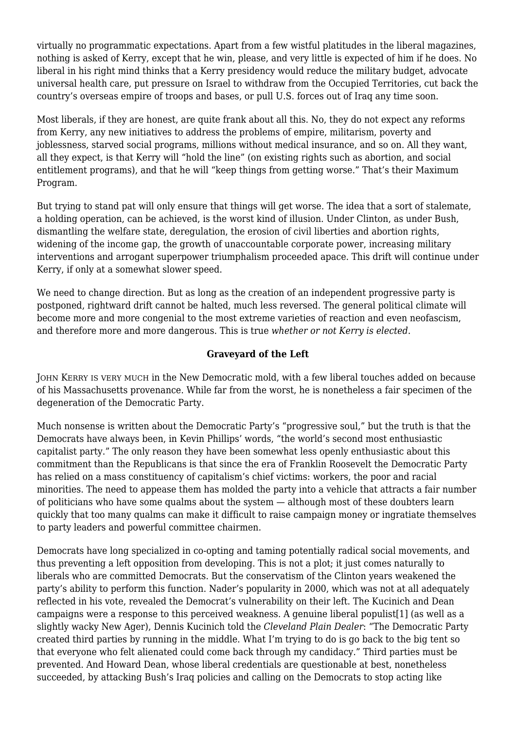virtually no programmatic expectations. Apart from a few wistful platitudes in the liberal magazines, nothing is asked of Kerry, except that he win, please, and very little is expected of him if he does. No liberal in his right mind thinks that a Kerry presidency would reduce the military budget, advocate universal health care, put pressure on Israel to withdraw from the Occupied Territories, cut back the country's overseas empire of troops and bases, or pull U.S. forces out of Iraq any time soon.

Most liberals, if they are honest, are quite frank about all this. No, they do not expect any reforms from Kerry, any new initiatives to address the problems of empire, militarism, poverty and joblessness, starved social programs, millions without medical insurance, and so on. All they want, all they expect, is that Kerry will "hold the line" (on existing rights such as abortion, and social entitlement programs), and that he will "keep things from getting worse." That's their Maximum Program.

But trying to stand pat will only ensure that things will get worse. The idea that a sort of stalemate, a holding operation, can be achieved, is the worst kind of illusion. Under Clinton, as under Bush, dismantling the welfare state, deregulation, the erosion of civil liberties and abortion rights, widening of the income gap, the growth of unaccountable corporate power, increasing military interventions and arrogant superpower triumphalism proceeded apace. This drift will continue under Kerry, if only at a somewhat slower speed.

We need to change direction. But as long as the creation of an independent progressive party is postponed, rightward drift cannot be halted, much less reversed. The general political climate will become more and more congenial to the most extreme varieties of reaction and even neofascism, and therefore more and more dangerous. This is true *whether or not Kerry is elected*.

### **Graveyard of the Left**

JOHN KERRY IS VERY MUCH in the New Democratic mold, with a few liberal touches added on because of his Massachusetts provenance. While far from the worst, he is nonetheless a fair specimen of the degeneration of the Democratic Party.

Much nonsense is written about the Democratic Party's "progressive soul," but the truth is that the Democrats have always been, in Kevin Phillips' words, "the world's second most enthusiastic capitalist party." The only reason they have been somewhat less openly enthusiastic about this commitment than the Republicans is that since the era of Franklin Roosevelt the Democratic Party has relied on a mass constituency of capitalism's chief victims: workers, the poor and racial minorities. The need to appease them has molded the party into a vehicle that attracts a fair number of politicians who have some qualms about the system — although most of these doubters learn quickly that too many qualms can make it difficult to raise campaign money or ingratiate themselves to party leaders and powerful committee chairmen.

Democrats have long specialized in co-opting and taming potentially radical social movements, and thus preventing a left opposition from developing. This is not a plot; it just comes naturally to liberals who are committed Democrats. But the conservatism of the Clinton years weakened the party's ability to perform this function. Nader's popularity in 2000, which was not at all adequately reflected in his vote, revealed the Democrat's vulnerability on their left. The Kucinich and Dean campaigns were a response to this perceived weakness. A genuine liberal populist[1] (as well as a slightly wacky New Ager), Dennis Kucinich told the *Cleveland Plain Dealer*: "The Democratic Party created third parties by running in the middle. What I'm trying to do is go back to the big tent so that everyone who felt alienated could come back through my candidacy." Third parties must be prevented. And Howard Dean, whose liberal credentials are questionable at best, nonetheless succeeded, by attacking Bush's Iraq policies and calling on the Democrats to stop acting like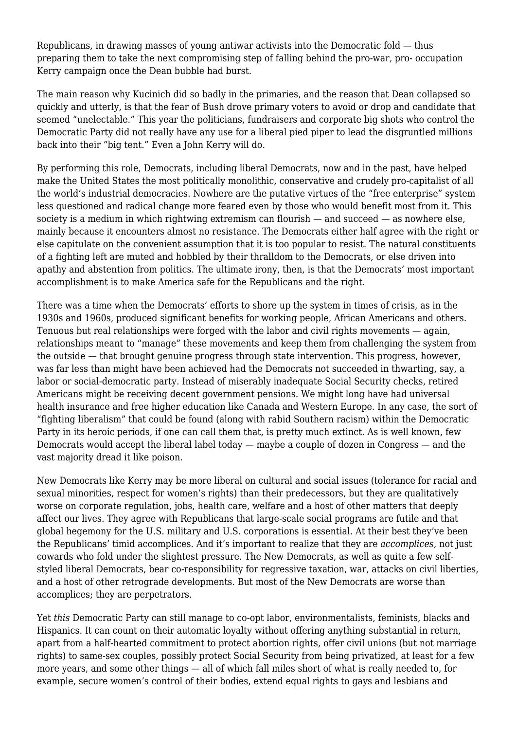Republicans, in drawing masses of young antiwar activists into the Democratic fold — thus preparing them to take the next compromising step of falling behind the pro-war, pro- occupation Kerry campaign once the Dean bubble had burst.

The main reason why Kucinich did so badly in the primaries, and the reason that Dean collapsed so quickly and utterly, is that the fear of Bush drove primary voters to avoid or drop and candidate that seemed "unelectable." This year the politicians, fundraisers and corporate big shots who control the Democratic Party did not really have any use for a liberal pied piper to lead the disgruntled millions back into their "big tent." Even a John Kerry will do.

By performing this role, Democrats, including liberal Democrats, now and in the past, have helped make the United States the most politically monolithic, conservative and crudely pro-capitalist of all the world's industrial democracies. Nowhere are the putative virtues of the "free enterprise" system less questioned and radical change more feared even by those who would benefit most from it. This society is a medium in which rightwing extremism can flourish — and succeed — as nowhere else, mainly because it encounters almost no resistance. The Democrats either half agree with the right or else capitulate on the convenient assumption that it is too popular to resist. The natural constituents of a fighting left are muted and hobbled by their thralldom to the Democrats, or else driven into apathy and abstention from politics. The ultimate irony, then, is that the Democrats' most important accomplishment is to make America safe for the Republicans and the right.

There was a time when the Democrats' efforts to shore up the system in times of crisis, as in the 1930s and 1960s, produced significant benefits for working people, African Americans and others. Tenuous but real relationships were forged with the labor and civil rights movements — again, relationships meant to "manage" these movements and keep them from challenging the system from the outside — that brought genuine progress through state intervention. This progress, however, was far less than might have been achieved had the Democrats not succeeded in thwarting, say, a labor or social-democratic party. Instead of miserably inadequate Social Security checks, retired Americans might be receiving decent government pensions. We might long have had universal health insurance and free higher education like Canada and Western Europe. In any case, the sort of "fighting liberalism" that could be found (along with rabid Southern racism) within the Democratic Party in its heroic periods, if one can call them that, is pretty much extinct. As is well known, few Democrats would accept the liberal label today — maybe a couple of dozen in Congress — and the vast majority dread it like poison.

New Democrats like Kerry may be more liberal on cultural and social issues (tolerance for racial and sexual minorities, respect for women's rights) than their predecessors, but they are qualitatively worse on corporate regulation, jobs, health care, welfare and a host of other matters that deeply affect our lives. They agree with Republicans that large-scale social programs are futile and that global hegemony for the U.S. military and U.S. corporations is essential. At their best they've been the Republicans' timid accomplices. And it's important to realize that they are *accomplices*, not just cowards who fold under the slightest pressure. The New Democrats, as well as quite a few selfstyled liberal Democrats, bear co-responsibility for regressive taxation, war, attacks on civil liberties, and a host of other retrograde developments. But most of the New Democrats are worse than accomplices; they are perpetrators.

Yet *this* Democratic Party can still manage to co-opt labor, environmentalists, feminists, blacks and Hispanics. It can count on their automatic loyalty without offering anything substantial in return, apart from a half-hearted commitment to protect abortion rights, offer civil unions (but not marriage rights) to same-sex couples, possibly protect Social Security from being privatized, at least for a few more years, and some other things — all of which fall miles short of what is really needed to, for example, secure women's control of their bodies, extend equal rights to gays and lesbians and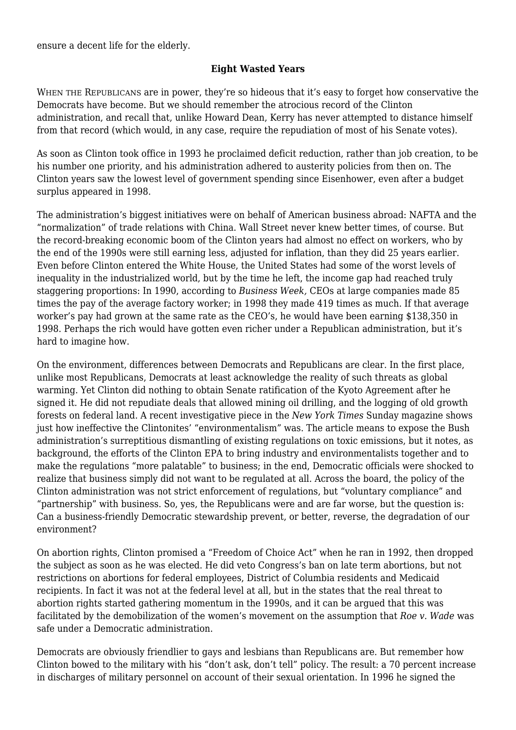ensure a decent life for the elderly.

#### **Eight Wasted Years**

WHEN THE REPUBLICANS are in power, they're so hideous that it's easy to forget how conservative the Democrats have become. But we should remember the atrocious record of the Clinton administration, and recall that, unlike Howard Dean, Kerry has never attempted to distance himself from that record (which would, in any case, require the repudiation of most of his Senate votes).

As soon as Clinton took office in 1993 he proclaimed deficit reduction, rather than job creation, to be his number one priority, and his administration adhered to austerity policies from then on. The Clinton years saw the lowest level of government spending since Eisenhower, even after a budget surplus appeared in 1998.

The administration's biggest initiatives were on behalf of American business abroad: NAFTA and the "normalization" of trade relations with China. Wall Street never knew better times, of course. But the record-breaking economic boom of the Clinton years had almost no effect on workers, who by the end of the 1990s were still earning less, adjusted for inflation, than they did 25 years earlier. Even before Clinton entered the White House, the United States had some of the worst levels of inequality in the industrialized world, but by the time he left, the income gap had reached truly staggering proportions: In 1990, according to *Business Week,* CEOs at large companies made 85 times the pay of the average factory worker; in 1998 they made 419 times as much. If that average worker's pay had grown at the same rate as the CEO's, he would have been earning \$138,350 in 1998. Perhaps the rich would have gotten even richer under a Republican administration, but it's hard to imagine how.

On the environment, differences between Democrats and Republicans are clear. In the first place, unlike most Republicans, Democrats at least acknowledge the reality of such threats as global warming. Yet Clinton did nothing to obtain Senate ratification of the Kyoto Agreement after he signed it. He did not repudiate deals that allowed mining oil drilling, and the logging of old growth forests on federal land. A recent investigative piece in the *New York Times* Sunday magazine shows just how ineffective the Clintonites' "environmentalism" was. The article means to expose the Bush administration's surreptitious dismantling of existing regulations on toxic emissions, but it notes, as background, the efforts of the Clinton EPA to bring industry and environmentalists together and to make the regulations "more palatable" to business; in the end, Democratic officials were shocked to realize that business simply did not want to be regulated at all. Across the board, the policy of the Clinton administration was not strict enforcement of regulations, but "voluntary compliance" and "partnership" with business. So, yes, the Republicans were and are far worse, but the question is: Can a business-friendly Democratic stewardship prevent, or better, reverse, the degradation of our environment?

On abortion rights, Clinton promised a "Freedom of Choice Act" when he ran in 1992, then dropped the subject as soon as he was elected. He did veto Congress's ban on late term abortions, but not restrictions on abortions for federal employees, District of Columbia residents and Medicaid recipients. In fact it was not at the federal level at all, but in the states that the real threat to abortion rights started gathering momentum in the 1990s, and it can be argued that this was facilitated by the demobilization of the women's movement on the assumption that *Roe v. Wade* was safe under a Democratic administration.

Democrats are obviously friendlier to gays and lesbians than Republicans are. But remember how Clinton bowed to the military with his "don't ask, don't tell" policy. The result: a 70 percent increase in discharges of military personnel on account of their sexual orientation. In 1996 he signed the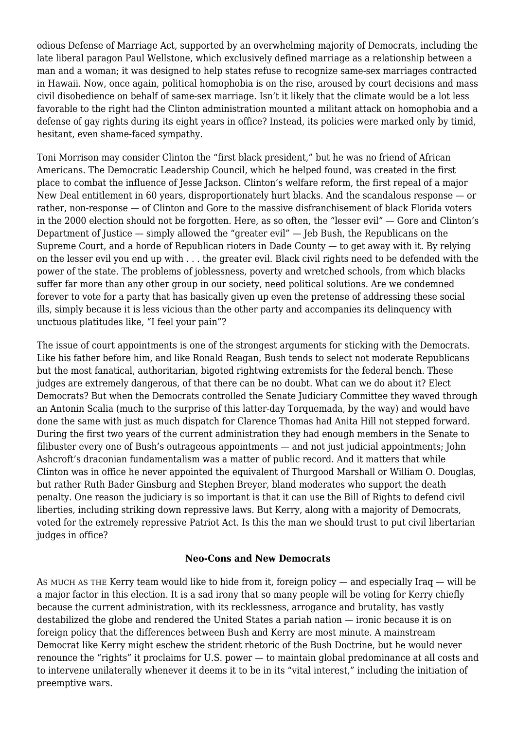odious Defense of Marriage Act, supported by an overwhelming majority of Democrats, including the late liberal paragon Paul Wellstone, which exclusively defined marriage as a relationship between a man and a woman; it was designed to help states refuse to recognize same-sex marriages contracted in Hawaii. Now, once again, political homophobia is on the rise, aroused by court decisions and mass civil disobedience on behalf of same-sex marriage. Isn't it likely that the climate would be a lot less favorable to the right had the Clinton administration mounted a militant attack on homophobia and a defense of gay rights during its eight years in office? Instead, its policies were marked only by timid, hesitant, even shame-faced sympathy.

Toni Morrison may consider Clinton the "first black president," but he was no friend of African Americans. The Democratic Leadership Council, which he helped found, was created in the first place to combat the influence of Jesse Jackson. Clinton's welfare reform, the first repeal of a major New Deal entitlement in 60 years, disproportionately hurt blacks. And the scandalous response — or rather, non-response — of Clinton and Gore to the massive disfranchisement of black Florida voters in the 2000 election should not be forgotten. Here, as so often, the "lesser evil" — Gore and Clinton's Department of Justice — simply allowed the "greater evil" — Jeb Bush, the Republicans on the Supreme Court, and a horde of Republican rioters in Dade County — to get away with it. By relying on the lesser evil you end up with . . . the greater evil. Black civil rights need to be defended with the power of the state. The problems of joblessness, poverty and wretched schools, from which blacks suffer far more than any other group in our society, need political solutions. Are we condemned forever to vote for a party that has basically given up even the pretense of addressing these social ills, simply because it is less vicious than the other party and accompanies its delinquency with unctuous platitudes like, "I feel your pain"?

The issue of court appointments is one of the strongest arguments for sticking with the Democrats. Like his father before him, and like Ronald Reagan, Bush tends to select not moderate Republicans but the most fanatical, authoritarian, bigoted rightwing extremists for the federal bench. These judges are extremely dangerous, of that there can be no doubt. What can we do about it? Elect Democrats? But when the Democrats controlled the Senate Judiciary Committee they waved through an Antonin Scalia (much to the surprise of this latter-day Torquemada, by the way) and would have done the same with just as much dispatch for Clarence Thomas had Anita Hill not stepped forward. During the first two years of the current administration they had enough members in the Senate to filibuster every one of Bush's outrageous appointments — and not just judicial appointments; John Ashcroft's draconian fundamentalism was a matter of public record. And it matters that while Clinton was in office he never appointed the equivalent of Thurgood Marshall or William O. Douglas, but rather Ruth Bader Ginsburg and Stephen Breyer, bland moderates who support the death penalty. One reason the judiciary is so important is that it can use the Bill of Rights to defend civil liberties, including striking down repressive laws. But Kerry, along with a majority of Democrats, voted for the extremely repressive Patriot Act. Is this the man we should trust to put civil libertarian judges in office?

#### **Neo-Cons and New Democrats**

AS MUCH AS THE Kerry team would like to hide from it, foreign policy — and especially Iraq — will be a major factor in this election. It is a sad irony that so many people will be voting for Kerry chiefly because the current administration, with its recklessness, arrogance and brutality, has vastly destabilized the globe and rendered the United States a pariah nation — ironic because it is on foreign policy that the differences between Bush and Kerry are most minute. A mainstream Democrat like Kerry might eschew the strident rhetoric of the Bush Doctrine, but he would never renounce the "rights" it proclaims for U.S. power — to maintain global predominance at all costs and to intervene unilaterally whenever it deems it to be in its "vital interest," including the initiation of preemptive wars.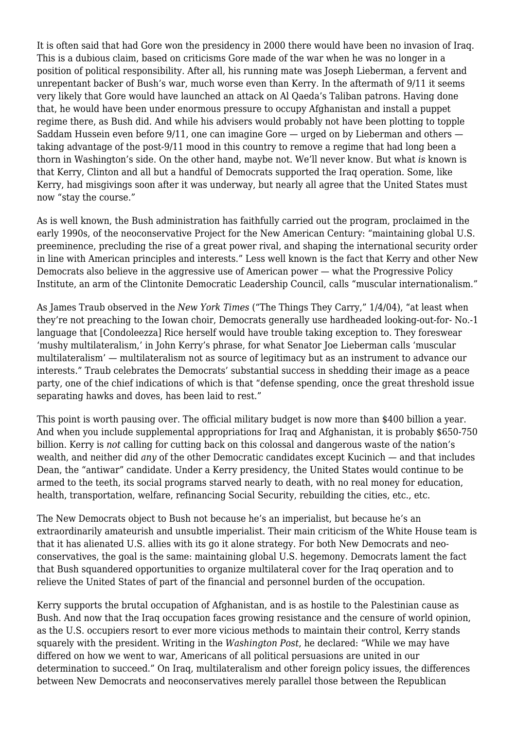It is often said that had Gore won the presidency in 2000 there would have been no invasion of Iraq. This is a dubious claim, based on criticisms Gore made of the war when he was no longer in a position of political responsibility. After all, his running mate was Joseph Lieberman, a fervent and unrepentant backer of Bush's war, much worse even than Kerry. In the aftermath of 9/11 it seems very likely that Gore would have launched an attack on Al Qaeda's Taliban patrons. Having done that, he would have been under enormous pressure to occupy Afghanistan and install a puppet regime there, as Bush did. And while his advisers would probably not have been plotting to topple Saddam Hussein even before 9/11, one can imagine Gore — urged on by Lieberman and others taking advantage of the post-9/11 mood in this country to remove a regime that had long been a thorn in Washington's side. On the other hand, maybe not. We'll never know. But what *is* known is that Kerry, Clinton and all but a handful of Democrats supported the Iraq operation. Some, like Kerry, had misgivings soon after it was underway, but nearly all agree that the United States must now "stay the course."

As is well known, the Bush administration has faithfully carried out the program, proclaimed in the early 1990s, of the neoconservative Project for the New American Century: "maintaining global U.S. preeminence, precluding the rise of a great power rival, and shaping the international security order in line with American principles and interests." Less well known is the fact that Kerry and other New Democrats also believe in the aggressive use of American power — what the Progressive Policy Institute, an arm of the Clintonite Democratic Leadership Council, calls "muscular internationalism."

As James Traub observed in the *New York Times* ("The Things They Carry," 1/4/04), "at least when they're not preaching to the Iowan choir, Democrats generally use hardheaded looking-out-for- No.-1 language that [Condoleezza] Rice herself would have trouble taking exception to. They foreswear 'mushy multilateralism,' in John Kerry's phrase, for what Senator Joe Lieberman calls 'muscular multilateralism' — multilateralism not as source of legitimacy but as an instrument to advance our interests." Traub celebrates the Democrats' substantial success in shedding their image as a peace party, one of the chief indications of which is that "defense spending, once the great threshold issue separating hawks and doves, has been laid to rest."

This point is worth pausing over. The official military budget is now more than \$400 billion a year. And when you include supplemental appropriations for Iraq and Afghanistan, it is probably \$650-750 billion. Kerry is *not* calling for cutting back on this colossal and dangerous waste of the nation's wealth, and neither did *any* of the other Democratic candidates except Kucinich — and that includes Dean, the "antiwar" candidate. Under a Kerry presidency, the United States would continue to be armed to the teeth, its social programs starved nearly to death, with no real money for education, health, transportation, welfare, refinancing Social Security, rebuilding the cities, etc., etc.

The New Democrats object to Bush not because he's an imperialist, but because he's an extraordinarily amateurish and unsubtle imperialist. Their main criticism of the White House team is that it has alienated U.S. allies with its go it alone strategy. For both New Democrats and neoconservatives, the goal is the same: maintaining global U.S. hegemony. Democrats lament the fact that Bush squandered opportunities to organize multilateral cover for the Iraq operation and to relieve the United States of part of the financial and personnel burden of the occupation.

Kerry supports the brutal occupation of Afghanistan, and is as hostile to the Palestinian cause as Bush. And now that the Iraq occupation faces growing resistance and the censure of world opinion, as the U.S. occupiers resort to ever more vicious methods to maintain their control, Kerry stands squarely with the president. Writing in the *Washington Post*, he declared: "While we may have differed on how we went to war, Americans of all political persuasions are united in our determination to succeed." On Iraq, multilateralism and other foreign policy issues, the differences between New Democrats and neoconservatives merely parallel those between the Republican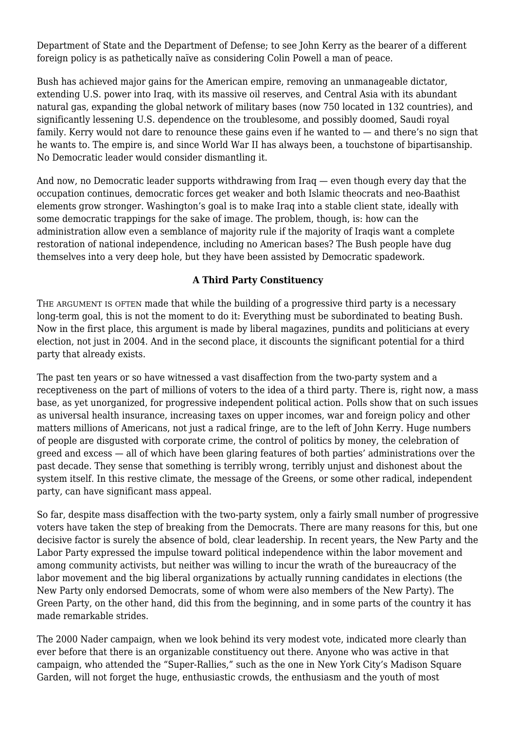Department of State and the Department of Defense; to see John Kerry as the bearer of a different foreign policy is as pathetically naïve as considering Colin Powell a man of peace.

Bush has achieved major gains for the American empire, removing an unmanageable dictator, extending U.S. power into Iraq, with its massive oil reserves, and Central Asia with its abundant natural gas, expanding the global network of military bases (now 750 located in 132 countries), and significantly lessening U.S. dependence on the troublesome, and possibly doomed, Saudi royal family. Kerry would not dare to renounce these gains even if he wanted to — and there's no sign that he wants to. The empire is, and since World War II has always been, a touchstone of bipartisanship. No Democratic leader would consider dismantling it.

And now, no Democratic leader supports withdrawing from Iraq — even though every day that the occupation continues, democratic forces get weaker and both Islamic theocrats and neo-Baathist elements grow stronger. Washington's goal is to make Iraq into a stable client state, ideally with some democratic trappings for the sake of image. The problem, though, is: how can the administration allow even a semblance of majority rule if the majority of Iraqis want a complete restoration of national independence, including no American bases? The Bush people have dug themselves into a very deep hole, but they have been assisted by Democratic spadework.

#### **A Third Party Constituency**

THE ARGUMENT IS OFTEN made that while the building of a progressive third party is a necessary long-term goal, this is not the moment to do it: Everything must be subordinated to beating Bush. Now in the first place, this argument is made by liberal magazines, pundits and politicians at every election, not just in 2004. And in the second place, it discounts the significant potential for a third party that already exists.

The past ten years or so have witnessed a vast disaffection from the two-party system and a receptiveness on the part of millions of voters to the idea of a third party. There is, right now, a mass base, as yet unorganized, for progressive independent political action. Polls show that on such issues as universal health insurance, increasing taxes on upper incomes, war and foreign policy and other matters millions of Americans, not just a radical fringe, are to the left of John Kerry. Huge numbers of people are disgusted with corporate crime, the control of politics by money, the celebration of greed and excess — all of which have been glaring features of both parties' administrations over the past decade. They sense that something is terribly wrong, terribly unjust and dishonest about the system itself. In this restive climate, the message of the Greens, or some other radical, independent party, can have significant mass appeal.

So far, despite mass disaffection with the two-party system, only a fairly small number of progressive voters have taken the step of breaking from the Democrats. There are many reasons for this, but one decisive factor is surely the absence of bold, clear leadership. In recent years, the New Party and the Labor Party expressed the impulse toward political independence within the labor movement and among community activists, but neither was willing to incur the wrath of the bureaucracy of the labor movement and the big liberal organizations by actually running candidates in elections (the New Party only endorsed Democrats, some of whom were also members of the New Party). The Green Party, on the other hand, did this from the beginning, and in some parts of the country it has made remarkable strides.

The 2000 Nader campaign, when we look behind its very modest vote, indicated more clearly than ever before that there is an organizable constituency out there. Anyone who was active in that campaign, who attended the "Super-Rallies," such as the one in New York City's Madison Square Garden, will not forget the huge, enthusiastic crowds, the enthusiasm and the youth of most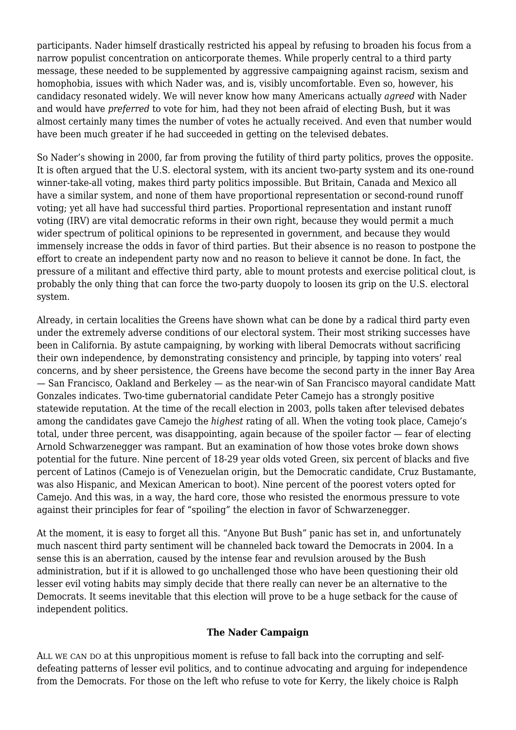participants. Nader himself drastically restricted his appeal by refusing to broaden his focus from a narrow populist concentration on anticorporate themes. While properly central to a third party message, these needed to be supplemented by aggressive campaigning against racism, sexism and homophobia, issues with which Nader was, and is, visibly uncomfortable. Even so, however, his candidacy resonated widely. We will never know how many Americans actually *agreed* with Nader and would have *preferred* to vote for him, had they not been afraid of electing Bush, but it was almost certainly many times the number of votes he actually received. And even that number would have been much greater if he had succeeded in getting on the televised debates.

So Nader's showing in 2000, far from proving the futility of third party politics, proves the opposite. It is often argued that the U.S. electoral system, with its ancient two-party system and its one-round winner-take-all voting, makes third party politics impossible. But Britain, Canada and Mexico all have a similar system, and none of them have proportional representation or second-round runoff voting; yet all have had successful third parties. Proportional representation and instant runoff voting (IRV) are vital democratic reforms in their own right, because they would permit a much wider spectrum of political opinions to be represented in government, and because they would immensely increase the odds in favor of third parties. But their absence is no reason to postpone the effort to create an independent party now and no reason to believe it cannot be done. In fact, the pressure of a militant and effective third party, able to mount protests and exercise political clout, is probably the only thing that can force the two-party duopoly to loosen its grip on the U.S. electoral system.

Already, in certain localities the Greens have shown what can be done by a radical third party even under the extremely adverse conditions of our electoral system. Their most striking successes have been in California. By astute campaigning, by working with liberal Democrats without sacrificing their own independence, by demonstrating consistency and principle, by tapping into voters' real concerns, and by sheer persistence, the Greens have become the second party in the inner Bay Area — San Francisco, Oakland and Berkeley — as the near-win of San Francisco mayoral candidate Matt Gonzales indicates. Two-time gubernatorial candidate Peter Camejo has a strongly positive statewide reputation. At the time of the recall election in 2003, polls taken after televised debates among the candidates gave Camejo the *highest* rating of all. When the voting took place, Camejo's total, under three percent, was disappointing, again because of the spoiler factor — fear of electing Arnold Schwarzenegger was rampant. But an examination of how those votes broke down shows potential for the future. Nine percent of 18-29 year olds voted Green, six percent of blacks and five percent of Latinos (Camejo is of Venezuelan origin, but the Democratic candidate, Cruz Bustamante, was also Hispanic, and Mexican American to boot). Nine percent of the poorest voters opted for Camejo. And this was, in a way, the hard core, those who resisted the enormous pressure to vote against their principles for fear of "spoiling" the election in favor of Schwarzenegger.

At the moment, it is easy to forget all this. "Anyone But Bush" panic has set in, and unfortunately much nascent third party sentiment will be channeled back toward the Democrats in 2004. In a sense this is an aberration, caused by the intense fear and revulsion aroused by the Bush administration, but if it is allowed to go unchallenged those who have been questioning their old lesser evil voting habits may simply decide that there really can never be an alternative to the Democrats. It seems inevitable that this election will prove to be a huge setback for the cause of independent politics.

#### **The Nader Campaign**

ALL WE CAN DO at this unpropitious moment is refuse to fall back into the corrupting and selfdefeating patterns of lesser evil politics, and to continue advocating and arguing for independence from the Democrats. For those on the left who refuse to vote for Kerry, the likely choice is Ralph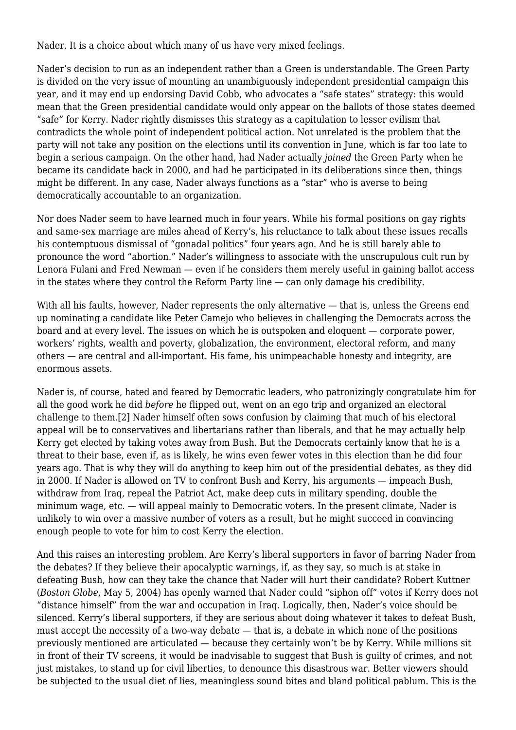Nader. It is a choice about which many of us have very mixed feelings.

Nader's decision to run as an independent rather than a Green is understandable. The Green Party is divided on the very issue of mounting an unambiguously independent presidential campaign this year, and it may end up endorsing David Cobb, who advocates a "safe states" strategy: this would mean that the Green presidential candidate would only appear on the ballots of those states deemed "safe" for Kerry. Nader rightly dismisses this strategy as a capitulation to lesser evilism that contradicts the whole point of independent political action. Not unrelated is the problem that the party will not take any position on the elections until its convention in June, which is far too late to begin a serious campaign. On the other hand, had Nader actually *joined* the Green Party when he became its candidate back in 2000, and had he participated in its deliberations since then, things might be different. In any case, Nader always functions as a "star" who is averse to being democratically accountable to an organization.

Nor does Nader seem to have learned much in four years. While his formal positions on gay rights and same-sex marriage are miles ahead of Kerry's, his reluctance to talk about these issues recalls his contemptuous dismissal of "gonadal politics" four years ago. And he is still barely able to pronounce the word "abortion." Nader's willingness to associate with the unscrupulous cult run by Lenora Fulani and Fred Newman — even if he considers them merely useful in gaining ballot access in the states where they control the Reform Party line — can only damage his credibility.

With all his faults, however, Nader represents the only alternative — that is, unless the Greens end up nominating a candidate like Peter Camejo who believes in challenging the Democrats across the board and at every level. The issues on which he is outspoken and eloquent — corporate power, workers' rights, wealth and poverty, globalization, the environment, electoral reform, and many others — are central and all-important. His fame, his unimpeachable honesty and integrity, are enormous assets.

Nader is, of course, hated and feared by Democratic leaders, who patronizingly congratulate him for all the good work he did *before* he flipped out, went on an ego trip and organized an electoral challenge to them.[2] Nader himself often sows confusion by claiming that much of his electoral appeal will be to conservatives and libertarians rather than liberals, and that he may actually help Kerry get elected by taking votes away from Bush. But the Democrats certainly know that he is a threat to their base, even if, as is likely, he wins even fewer votes in this election than he did four years ago. That is why they will do anything to keep him out of the presidential debates, as they did in 2000. If Nader is allowed on TV to confront Bush and Kerry, his arguments — impeach Bush, withdraw from Iraq, repeal the Patriot Act, make deep cuts in military spending, double the minimum wage, etc. — will appeal mainly to Democratic voters. In the present climate, Nader is unlikely to win over a massive number of voters as a result, but he might succeed in convincing enough people to vote for him to cost Kerry the election.

And this raises an interesting problem. Are Kerry's liberal supporters in favor of barring Nader from the debates? If they believe their apocalyptic warnings, if, as they say, so much is at stake in defeating Bush, how can they take the chance that Nader will hurt their candidate? Robert Kuttner (*Boston Globe*, May 5, 2004) has openly warned that Nader could "siphon off" votes if Kerry does not "distance himself" from the war and occupation in Iraq. Logically, then, Nader's voice should be silenced. Kerry's liberal supporters, if they are serious about doing whatever it takes to defeat Bush, must accept the necessity of a two-way debate — that is, a debate in which none of the positions previously mentioned are articulated — because they certainly won't be by Kerry. While millions sit in front of their TV screens, it would be inadvisable to suggest that Bush is guilty of crimes, and not just mistakes, to stand up for civil liberties, to denounce this disastrous war. Better viewers should be subjected to the usual diet of lies, meaningless sound bites and bland political pablum. This is the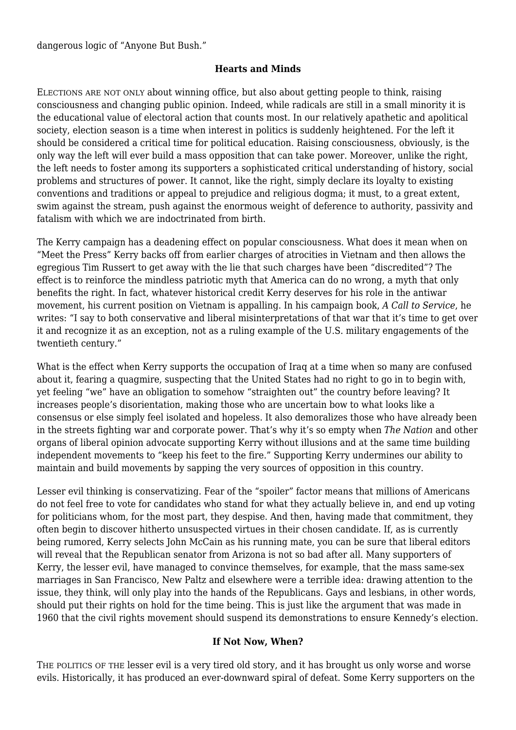dangerous logic of "Anyone But Bush."

#### **Hearts and Minds**

ELECTIONS ARE NOT ONLY about winning office, but also about getting people to think, raising consciousness and changing public opinion. Indeed, while radicals are still in a small minority it is the educational value of electoral action that counts most. In our relatively apathetic and apolitical society, election season is a time when interest in politics is suddenly heightened. For the left it should be considered a critical time for political education. Raising consciousness, obviously, is the only way the left will ever build a mass opposition that can take power. Moreover, unlike the right, the left needs to foster among its supporters a sophisticated critical understanding of history, social problems and structures of power. It cannot, like the right, simply declare its loyalty to existing conventions and traditions or appeal to prejudice and religious dogma; it must, to a great extent, swim against the stream, push against the enormous weight of deference to authority, passivity and fatalism with which we are indoctrinated from birth.

The Kerry campaign has a deadening effect on popular consciousness. What does it mean when on "Meet the Press" Kerry backs off from earlier charges of atrocities in Vietnam and then allows the egregious Tim Russert to get away with the lie that such charges have been "discredited"? The effect is to reinforce the mindless patriotic myth that America can do no wrong, a myth that only benefits the right. In fact, whatever historical credit Kerry deserves for his role in the antiwar movement, his current position on Vietnam is appalling. In his campaign book, *A Call to Service*, he writes: "I say to both conservative and liberal misinterpretations of that war that it's time to get over it and recognize it as an exception, not as a ruling example of the U.S. military engagements of the twentieth century."

What is the effect when Kerry supports the occupation of Iraq at a time when so many are confused about it, fearing a quagmire, suspecting that the United States had no right to go in to begin with, yet feeling "we" have an obligation to somehow "straighten out" the country before leaving? It increases people's disorientation, making those who are uncertain bow to what looks like a consensus or else simply feel isolated and hopeless. It also demoralizes those who have already been in the streets fighting war and corporate power. That's why it's so empty when *The Nation* and other organs of liberal opinion advocate supporting Kerry without illusions and at the same time building independent movements to "keep his feet to the fire." Supporting Kerry undermines our ability to maintain and build movements by sapping the very sources of opposition in this country.

Lesser evil thinking is conservatizing. Fear of the "spoiler" factor means that millions of Americans do not feel free to vote for candidates who stand for what they actually believe in, and end up voting for politicians whom, for the most part, they despise. And then, having made that commitment, they often begin to discover hitherto unsuspected virtues in their chosen candidate. If, as is currently being rumored, Kerry selects John McCain as his running mate, you can be sure that liberal editors will reveal that the Republican senator from Arizona is not so bad after all. Many supporters of Kerry, the lesser evil, have managed to convince themselves, for example, that the mass same-sex marriages in San Francisco, New Paltz and elsewhere were a terrible idea: drawing attention to the issue, they think, will only play into the hands of the Republicans. Gays and lesbians, in other words, should put their rights on hold for the time being. This is just like the argument that was made in 1960 that the civil rights movement should suspend its demonstrations to ensure Kennedy's election.

#### **If Not Now, When?**

THE POLITICS OF THE lesser evil is a very tired old story, and it has brought us only worse and worse evils. Historically, it has produced an ever-downward spiral of defeat. Some Kerry supporters on the